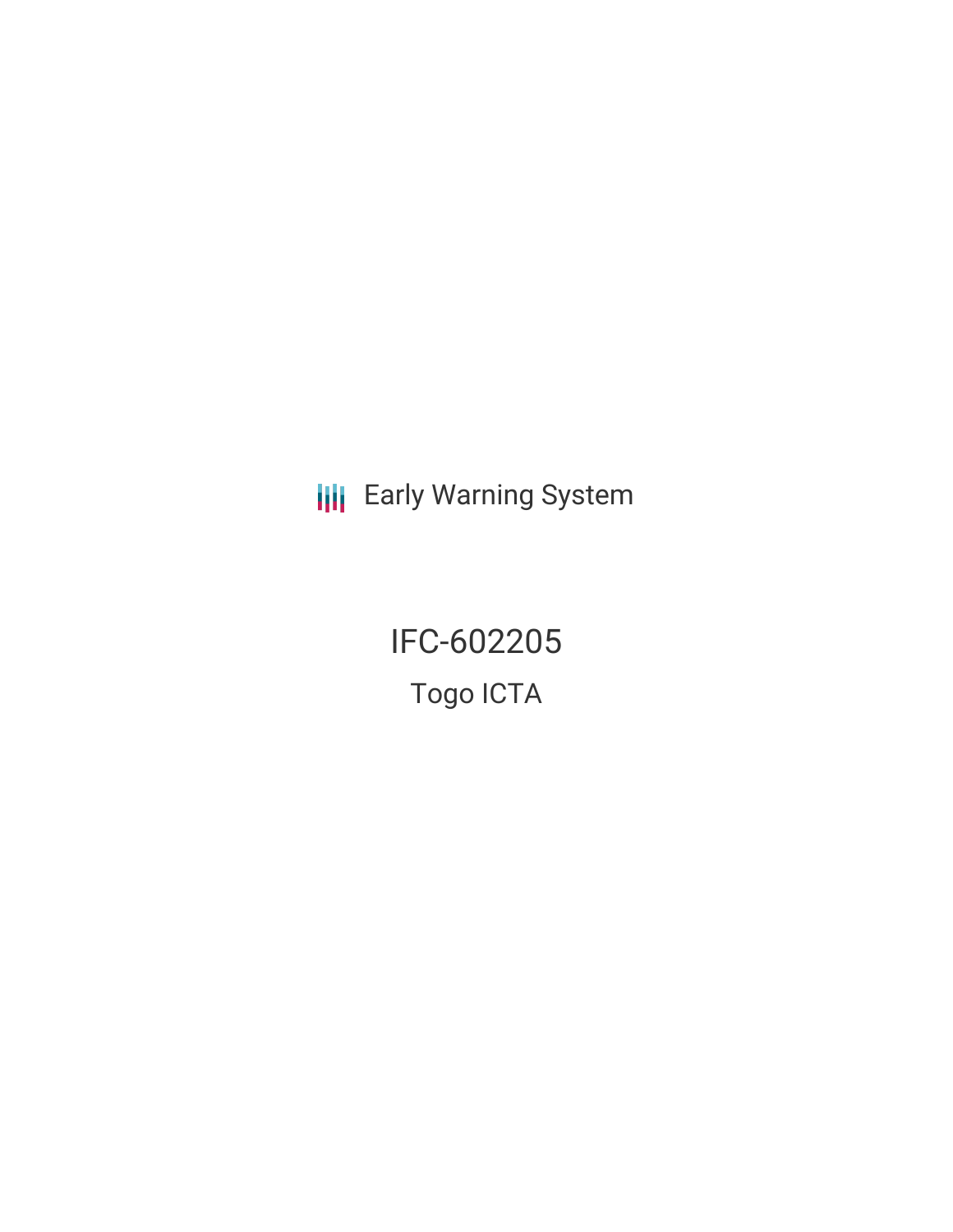**III** Early Warning System

IFC-602205 Togo ICTA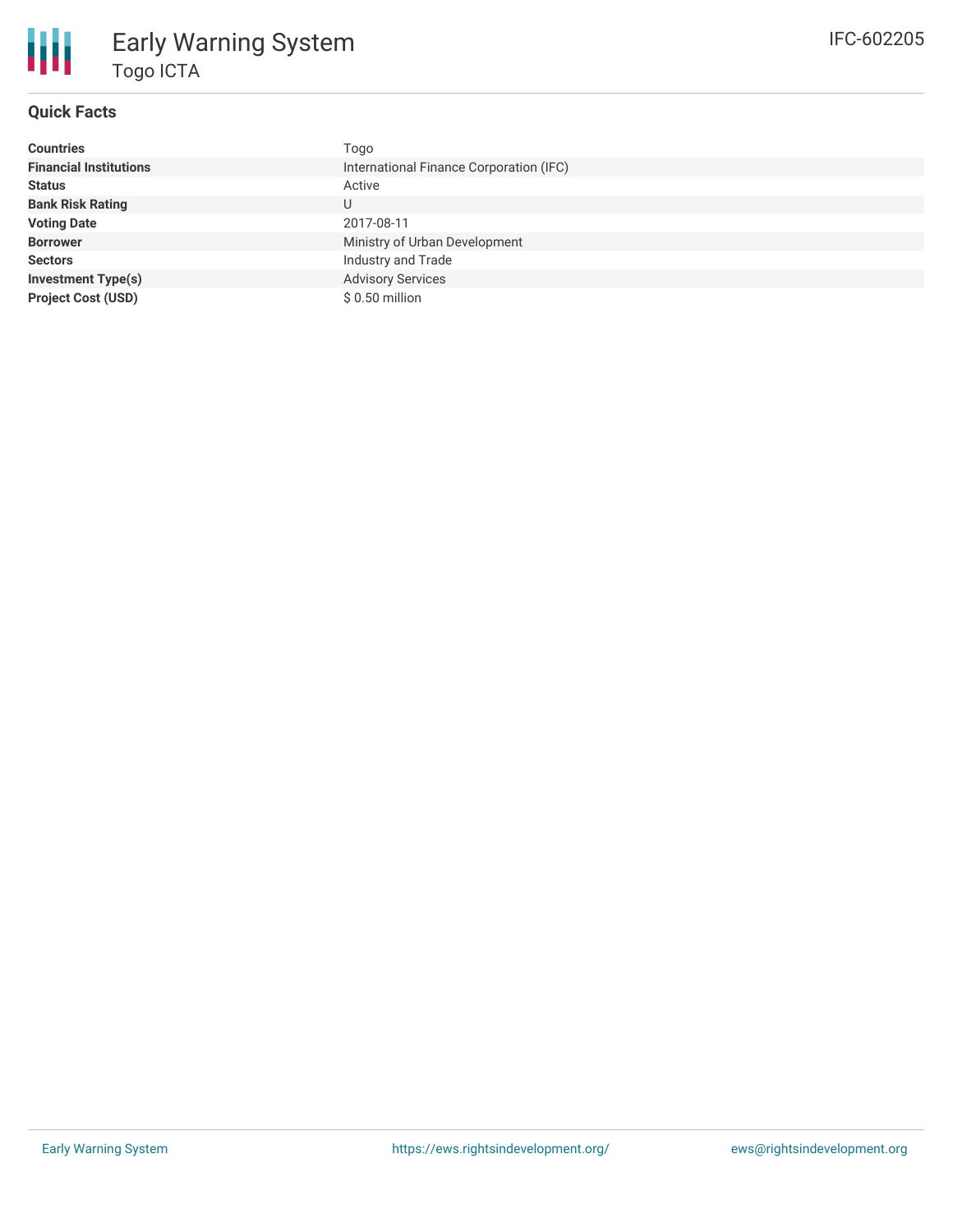

# Early Warning System Togo ICTA

#### **Quick Facts**

| <b>Countries</b>              | Togo                                    |
|-------------------------------|-----------------------------------------|
| <b>Financial Institutions</b> | International Finance Corporation (IFC) |
| <b>Status</b>                 | Active                                  |
| <b>Bank Risk Rating</b>       | U                                       |
| <b>Voting Date</b>            | 2017-08-11                              |
| <b>Borrower</b>               | Ministry of Urban Development           |
| <b>Sectors</b>                | Industry and Trade                      |
| <b>Investment Type(s)</b>     | <b>Advisory Services</b>                |
| <b>Project Cost (USD)</b>     | $$0.50$ million                         |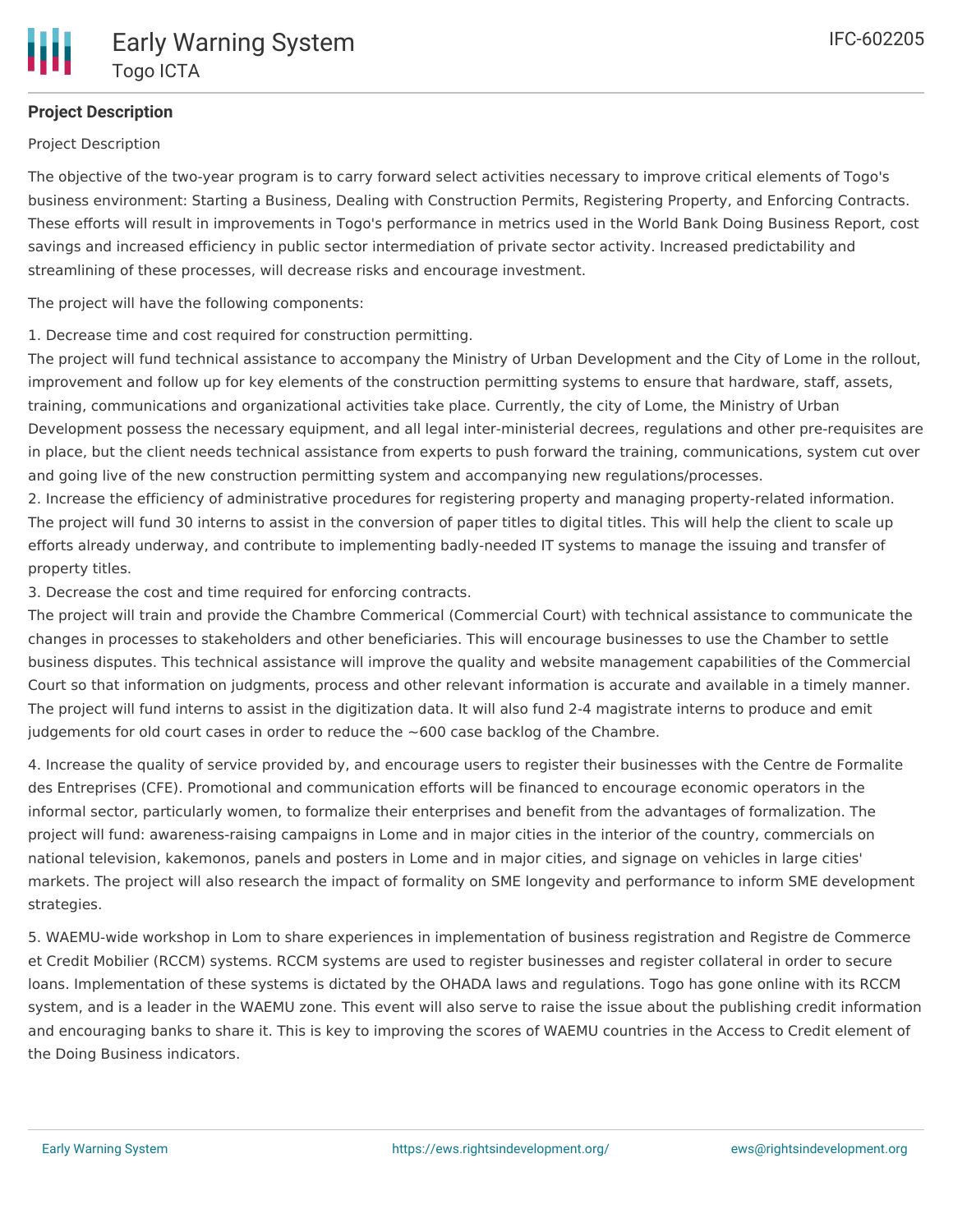

### **Project Description**

Project Description

The objective of the two-year program is to carry forward select activities necessary to improve critical elements of Togo's business environment: Starting a Business, Dealing with Construction Permits, Registering Property, and Enforcing Contracts. These efforts will result in improvements in Togo's performance in metrics used in the World Bank Doing Business Report, cost savings and increased efficiency in public sector intermediation of private sector activity. Increased predictability and streamlining of these processes, will decrease risks and encourage investment.

The project will have the following components:

1. Decrease time and cost required for construction permitting.

The project will fund technical assistance to accompany the Ministry of Urban Development and the City of Lome in the rollout, improvement and follow up for key elements of the construction permitting systems to ensure that hardware, staff, assets, training, communications and organizational activities take place. Currently, the city of Lome, the Ministry of Urban Development possess the necessary equipment, and all legal inter-ministerial decrees, regulations and other pre-requisites are in place, but the client needs technical assistance from experts to push forward the training, communications, system cut over and going live of the new construction permitting system and accompanying new regulations/processes.

2. Increase the efficiency of administrative procedures for registering property and managing property-related information. The project will fund 30 interns to assist in the conversion of paper titles to digital titles. This will help the client to scale up efforts already underway, and contribute to implementing badly-needed IT systems to manage the issuing and transfer of property titles.

3. Decrease the cost and time required for enforcing contracts.

The project will train and provide the Chambre Commerical (Commercial Court) with technical assistance to communicate the changes in processes to stakeholders and other beneficiaries. This will encourage businesses to use the Chamber to settle business disputes. This technical assistance will improve the quality and website management capabilities of the Commercial Court so that information on judgments, process and other relevant information is accurate and available in a timely manner. The project will fund interns to assist in the digitization data. It will also fund 2-4 magistrate interns to produce and emit judgements for old court cases in order to reduce the  $~600$  case backlog of the Chambre.

4. Increase the quality of service provided by, and encourage users to register their businesses with the Centre de Formalite des Entreprises (CFE). Promotional and communication efforts will be financed to encourage economic operators in the informal sector, particularly women, to formalize their enterprises and benefit from the advantages of formalization. The project will fund: awareness-raising campaigns in Lome and in major cities in the interior of the country, commercials on national television, kakemonos, panels and posters in Lome and in major cities, and signage on vehicles in large cities' markets. The project will also research the impact of formality on SME longevity and performance to inform SME development strategies.

5. WAEMU-wide workshop in Lom to share experiences in implementation of business registration and Registre de Commerce et Credit Mobilier (RCCM) systems. RCCM systems are used to register businesses and register collateral in order to secure loans. Implementation of these systems is dictated by the OHADA laws and regulations. Togo has gone online with its RCCM system, and is a leader in the WAEMU zone. This event will also serve to raise the issue about the publishing credit information and encouraging banks to share it. This is key to improving the scores of WAEMU countries in the Access to Credit element of the Doing Business indicators.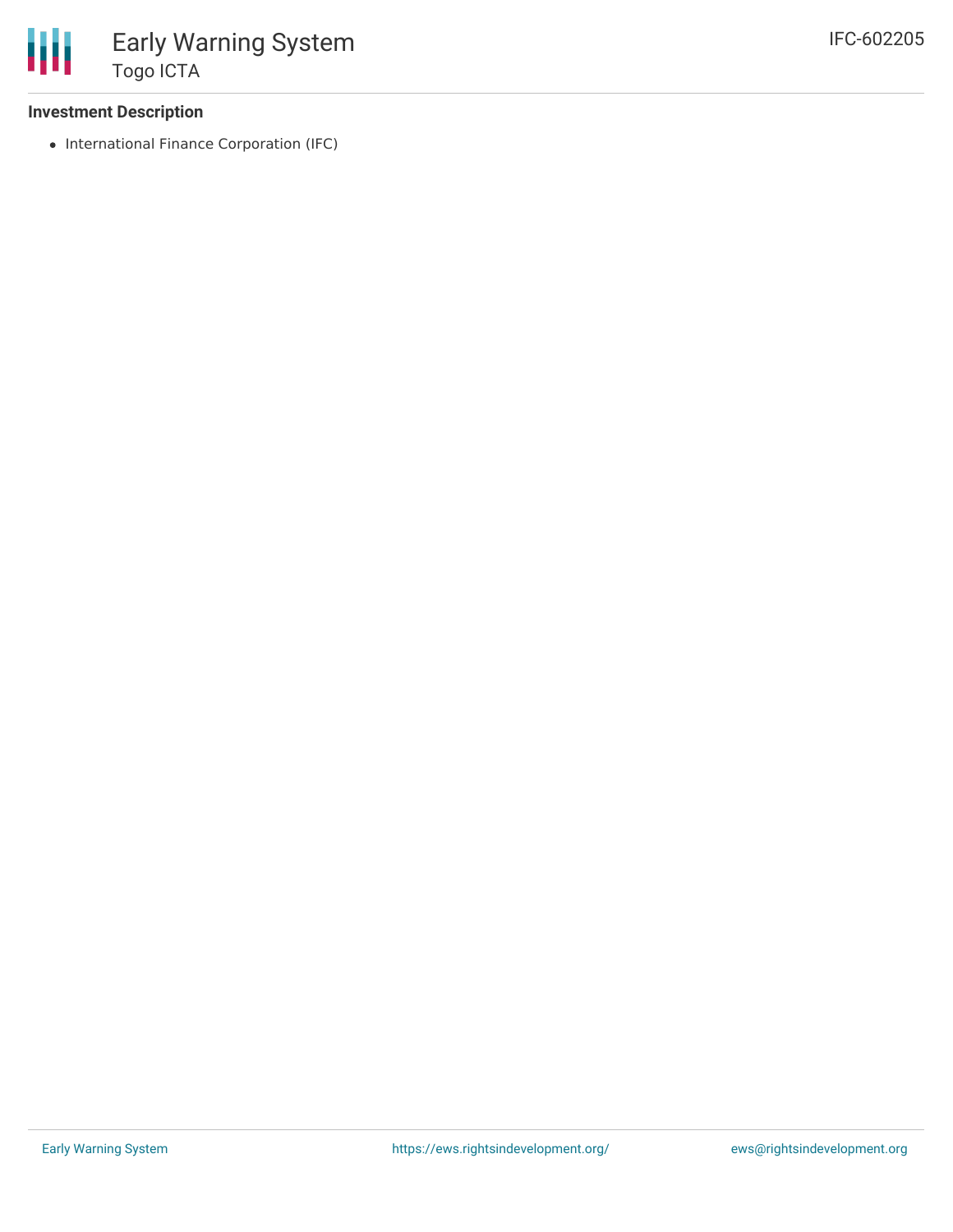

#### **Investment Description**

• International Finance Corporation (IFC)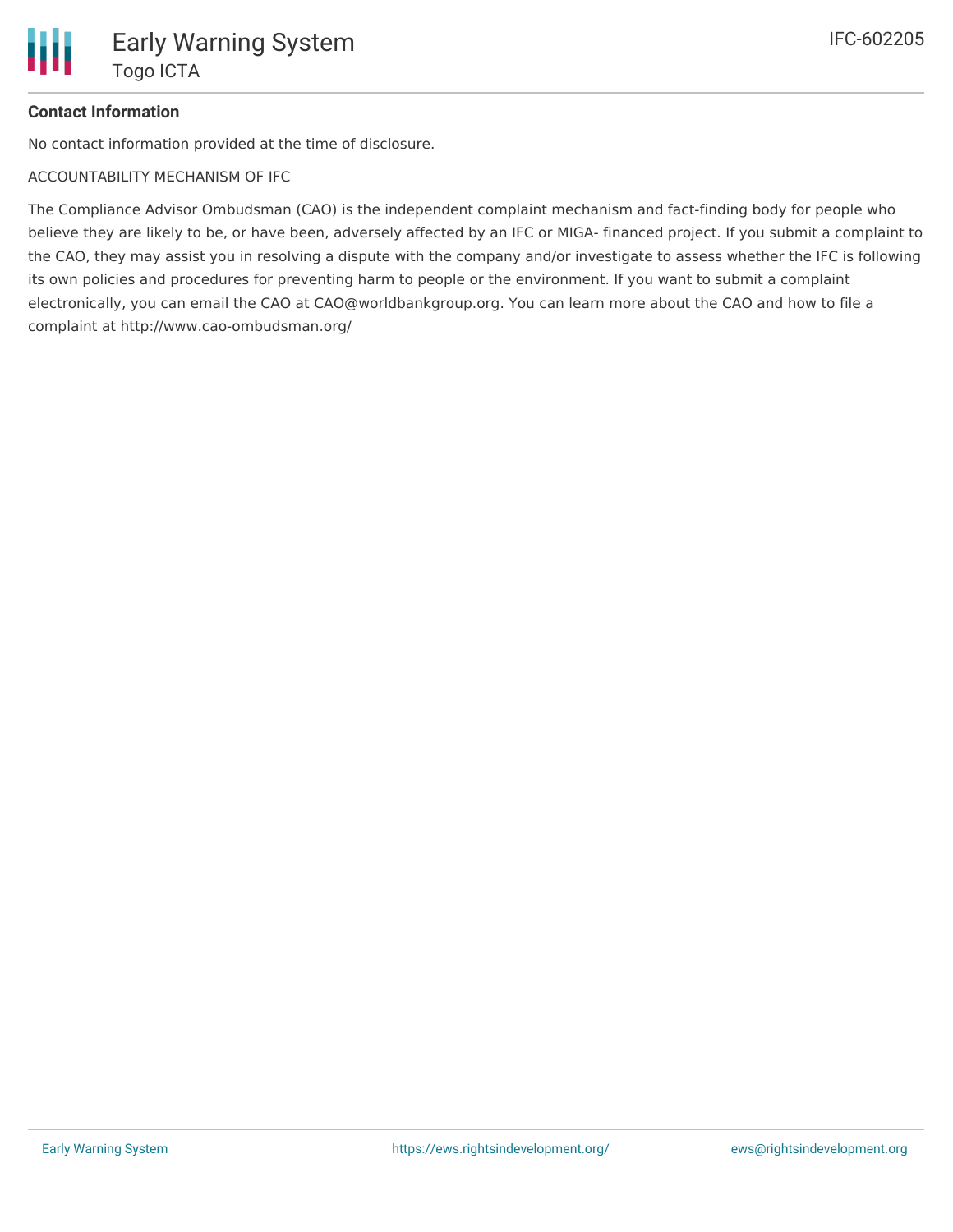## **Contact Information**

No contact information provided at the time of disclosure.

ACCOUNTABILITY MECHANISM OF IFC

The Compliance Advisor Ombudsman (CAO) is the independent complaint mechanism and fact-finding body for people who believe they are likely to be, or have been, adversely affected by an IFC or MIGA- financed project. If you submit a complaint to the CAO, they may assist you in resolving a dispute with the company and/or investigate to assess whether the IFC is following its own policies and procedures for preventing harm to people or the environment. If you want to submit a complaint electronically, you can email the CAO at CAO@worldbankgroup.org. You can learn more about the CAO and how to file a complaint at http://www.cao-ombudsman.org/